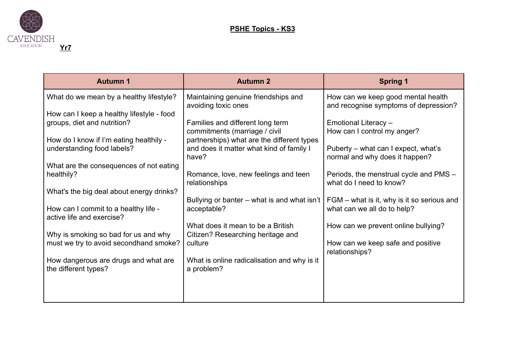

| <b>Autumn 1</b>                                                          | <b>Autumn 2</b>                                                                                                         | <b>Spring 1</b>                                                             |
|--------------------------------------------------------------------------|-------------------------------------------------------------------------------------------------------------------------|-----------------------------------------------------------------------------|
| What do we mean by a healthy lifestyle?                                  | Maintaining genuine friendships and<br>avoiding toxic ones                                                              | How can we keep good mental health<br>and recognise symptoms of depression? |
| How can I keep a healthy lifestyle - food<br>groups, diet and nutrition? | Families and different long term                                                                                        | Emotional Literacy -                                                        |
| How do I know if I'm eating healthily -<br>understanding food labels?    | commitments (marriage / civil<br>partnerships) what are the different types<br>and does it matter what kind of family I | How can I control my anger?<br>Puberty – what can I expect, what's          |
| What are the consequences of not eating                                  | have?                                                                                                                   | normal and why does it happen?                                              |
| healthily?                                                               | Romance, love, new feelings and teen<br>relationships                                                                   | Periods, the menstrual cycle and PMS -<br>what do I need to know?           |
| What's the big deal about energy drinks?                                 | Bullying or banter – what is and what isn't                                                                             | FGM – what is it, why is it so serious and                                  |
| How can I commit to a healthy life -<br>active life and exercise?        | acceptable?<br>What does it mean to be a British                                                                        | what can we all do to help?                                                 |
| Why is smoking so bad for us and why                                     | Citizen? Researching heritage and<br>culture                                                                            | How can we prevent online bullying?                                         |
| must we try to avoid secondhand smoke?                                   |                                                                                                                         | How can we keep safe and positive<br>relationships?                         |
| How dangerous are drugs and what are<br>the different types?             | What is online radicalisation and why is it<br>a problem?                                                               |                                                                             |
|                                                                          |                                                                                                                         |                                                                             |
|                                                                          |                                                                                                                         |                                                                             |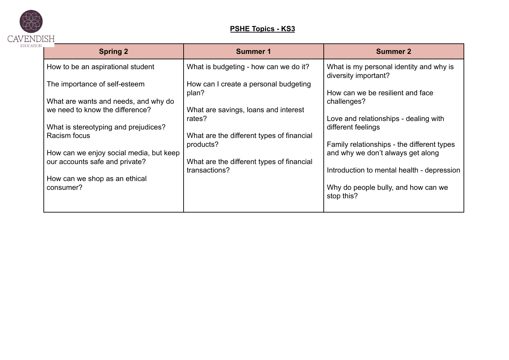

## **PSHE Topics - KS3**

| <b>Spring 2</b>                                      | <b>Summer 1</b>                                | <b>Summer 2</b>                                                                 |
|------------------------------------------------------|------------------------------------------------|---------------------------------------------------------------------------------|
| How to be an aspirational student                    | What is budgeting - how can we do it?          | What is my personal identity and why is<br>diversity important?                 |
| The importance of self-esteem                        | How can I create a personal budgeting<br>plan? | How can we be resilient and face                                                |
| What are wants and needs, and why do                 |                                                | challenges?                                                                     |
| we need to know the difference?                      | What are savings, loans and interest<br>rates? | Love and relationships - dealing with                                           |
| What is stereotyping and prejudices?<br>Racism focus | What are the different types of financial      | different feelings                                                              |
| How can we enjoy social media, but keep              | products?                                      | Family relationships - the different types<br>and why we don't always get along |
| our accounts safe and private?                       | What are the different types of financial      |                                                                                 |
| How can we shop as an ethical                        | transactions?                                  | Introduction to mental health - depression                                      |
| consumer?                                            |                                                | Why do people bully, and how can we<br>stop this?                               |
|                                                      |                                                |                                                                                 |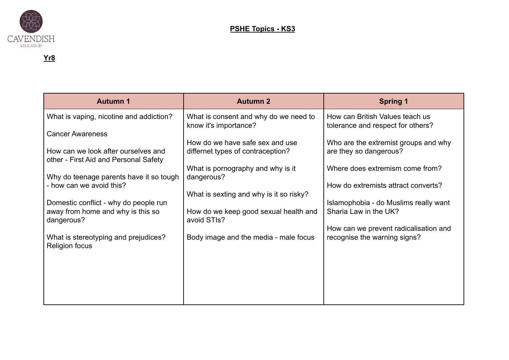

| <b>Autumn 1</b>                                                              | <b>Autumn 2</b>                                                | <b>Spring 1</b>                                                      |
|------------------------------------------------------------------------------|----------------------------------------------------------------|----------------------------------------------------------------------|
| What is vaping, nicotine and addiction?                                      | What is consent and why do we need to<br>know it's importance? | How can British Values teach us<br>tolerance and respect for others? |
| <b>Cancer Awareness</b>                                                      |                                                                |                                                                      |
|                                                                              | How do we have safe sex and use                                | Who are the extremist groups and why                                 |
| How can we look after ourselves and<br>other - First Aid and Personal Safety | differnet types of contraception?                              | are they so dangerous?                                               |
|                                                                              | What is pornography and why is it                              | Where does extremism come from?                                      |
| Why do teenage parents have it so tough<br>- how can we avoid this?          | dangerous?                                                     | How do extremists attract converts?                                  |
|                                                                              | What is sexting and why is it so risky?                        |                                                                      |
| Domestic conflict - why do people run                                        |                                                                | Islamophobia - do Muslims really want                                |
| away from home and why is this so<br>dangerous?                              | How do we keep good sexual health and<br>avoid STIs?           | Sharia Law in the UK?                                                |
|                                                                              |                                                                | How can we prevent radicalisation and                                |
| What is stereotyping and prejudices?<br><b>Religion focus</b>                | Body image and the media - male focus                          | recognise the warning signs?                                         |
|                                                                              |                                                                |                                                                      |
|                                                                              |                                                                |                                                                      |
|                                                                              |                                                                |                                                                      |
|                                                                              |                                                                |                                                                      |
|                                                                              |                                                                |                                                                      |
|                                                                              |                                                                |                                                                      |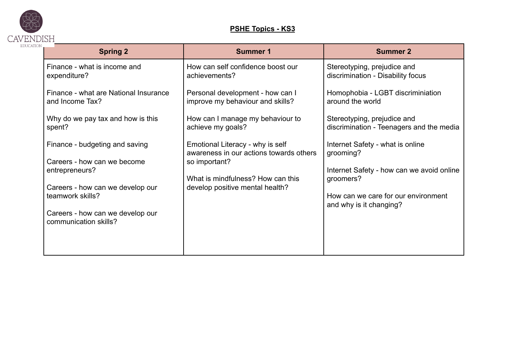

## **PSHE Topics - KS3**

| <b>Spring 2</b>                                           | <b>Summer 1</b>                                                             | <b>Summer 2</b>                                                         |
|-----------------------------------------------------------|-----------------------------------------------------------------------------|-------------------------------------------------------------------------|
| Finance - what is income and<br>expenditure?              | How can self confidence boost our<br>achievements?                          | Stereotyping, prejudice and<br>discrimination - Disability focus        |
| Finance - what are National Insurance<br>and Income Tax?  | Personal development - how can I<br>improve my behaviour and skills?        | Homophobia - LGBT discriminiation<br>around the world                   |
| Why do we pay tax and how is this<br>spent?               | How can I manage my behaviour to<br>achieve my goals?                       | Stereotyping, prejudice and<br>discrimination - Teenagers and the media |
| Finance - budgeting and saving                            | Emotional Literacy - why is self<br>awareness in our actions towards others | Internet Safety - what is online<br>grooming?                           |
| Careers - how can we become<br>entrepreneurs?             | so important?<br>What is mindfulness? How can this                          | Internet Safety - how can we avoid online<br>groomers?                  |
| Careers - how can we develop our<br>teamwork skills?      | develop positive mental health?                                             | How can we care for our environment<br>and why is it changing?          |
| Careers - how can we develop our<br>communication skills? |                                                                             |                                                                         |
|                                                           |                                                                             |                                                                         |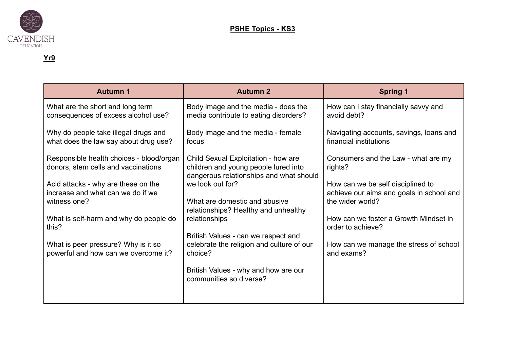

| <b>Autumn 1</b>                                                                 | <b>Autumn 2</b>                                                                                                        | <b>Spring 1</b>                                |
|---------------------------------------------------------------------------------|------------------------------------------------------------------------------------------------------------------------|------------------------------------------------|
| What are the short and long term                                                | Body image and the media - does the                                                                                    | How can I stay financially savvy and           |
| consequences of excess alcohol use?                                             | media contribute to eating disorders?                                                                                  | avoid debt?                                    |
| Why do people take illegal drugs and                                            | Body image and the media - female                                                                                      | Navigating accounts, savings, loans and        |
| what does the law say about drug use?                                           | focus                                                                                                                  | financial institutions                         |
| Responsible health choices - blood/organ<br>donors, stem cells and vaccinations | Child Sexual Exploitation - how are<br>children and young people lured into<br>dangerous relationships and what should | Consumers and the Law - what are my<br>rights? |
| Acid attacks - why are these on the                                             | we look out for?                                                                                                       | How can we be self disciplined to              |
| increase and what can we do if we                                               | What are domestic and abusive                                                                                          | achieve our aims and goals in school and       |
| witness one?                                                                    | relationships? Healthy and unhealthy                                                                                   | the wider world?                               |
| What is self-harm and why do people do                                          | relationships                                                                                                          | How can we foster a Growth Mindset in          |
| this?                                                                           | British Values - can we respect and                                                                                    | order to achieve?                              |
| What is peer pressure? Why is it so                                             | celebrate the religion and culture of our                                                                              | How can we manage the stress of school         |
| powerful and how can we overcome it?                                            | choice?                                                                                                                | and exams?                                     |
|                                                                                 | British Values - why and how are our<br>communities so diverse?                                                        |                                                |